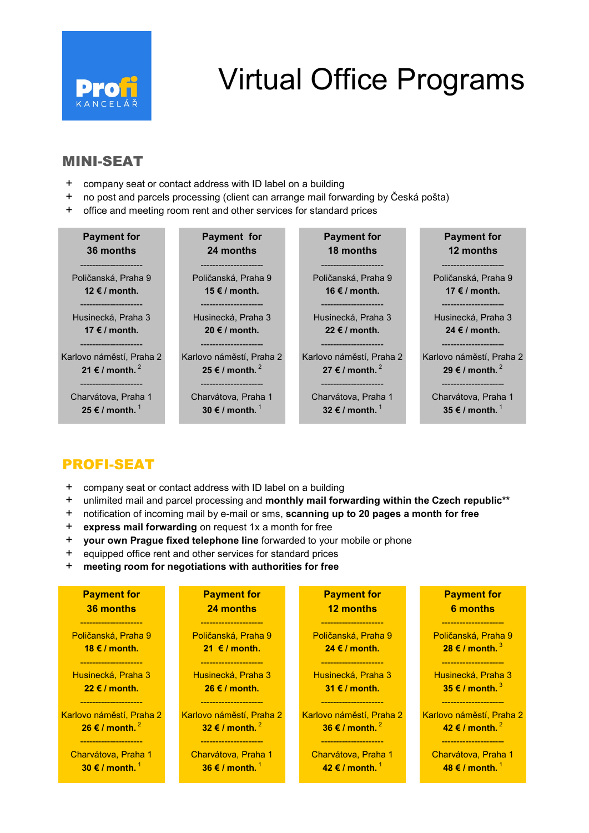

# Virtual Office Programs

### MINI-SEAT

- + company seat or contact address with ID label on a building
- + no post and parcels processing (client can arrange mail forwarding by Česká pošta)
- + office and meeting room rent and other services for standard prices

| <b>Payment for</b>                                                   | Payment for                                    | <b>Payment for</b>                                                    | <b>Payment for</b>                                                    |
|----------------------------------------------------------------------|------------------------------------------------|-----------------------------------------------------------------------|-----------------------------------------------------------------------|
| 36 months                                                            | 24 months                                      | 18 months                                                             | 12 months                                                             |
| Poličanská, Praha 9                                                  | Poličanská, Praha 9                            | Poličanská, Praha 9                                                   | Poličanská, Praha 9                                                   |
| 12 € / month.                                                        | 15 € / month.                                  | 16 € / month.                                                         | 17 € / month.                                                         |
| --------------------                                                 | _________________                              | --------------------                                                  | -------------------                                                   |
| Husinecká, Praha 3                                                   | Husinecká, Praha 3                             | Husinecká, Praha 3                                                    | Husinecká, Praha 3                                                    |
| 17 € / month.                                                        | 20 € / month.                                  | 22 € / month.                                                         | 24 $\notin$ / month.                                                  |
| Karlovo náměstí, Praha 2<br>21 € / month. $^2$<br>------------------ | Karlovo náměstí, Praha 2<br>25 € / month. $^2$ | Karlovo náměstí, Praha 2<br>27 € / month. $^2$<br>------------------- | Karlovo náměstí, Praha 2<br>29 € / month. $^2$<br>------------------- |
| Charvátova, Praha 1                                                  | Charvátova, Praha 1                            | Charvátova, Praha 1                                                   | Charvátova, Praha 1                                                   |
| 25 € / month. $^1$                                                   | 30 $\epsilon$ / month. <sup>1</sup>            | 32 $\epsilon$ / month. $^1$                                           | 35 $\epsilon$ / month.                                                |

## PROFI-SEAT

- + company seat or contact address with ID label on a building
- + unlimited mail and parcel processing and monthly mail forwarding within the Czech republic\*\*
- + notification of incoming mail by e-mail or sms, scanning up to 20 pages a month for free
- + express mail forwarding on request 1x a month for free
- + your own Prague fixed telephone line forwarded to your mobile or phone
- + equipped office rent and other services for standard prices
- + meeting room for negotiations with authorities for free

| <b>Payment for</b>                  | <b>Payment for</b>                  | <b>Payment for</b>       | <b>Payment for</b>       |
|-------------------------------------|-------------------------------------|--------------------------|--------------------------|
| 36 months                           | 24 months                           | <b>12 months</b>         | 6 months                 |
| Poličanská, Praha 9                 | Poličanská, Praha 9                 | Poličanská, Praha 9      | Poličanská, Praha 9      |
| 18 $\epsilon$ / month.              | 21 $\epsilon$ / month.              | 24 $\epsilon$ / month.   | 28 € / month. $3$        |
| Husinecká, Praha 3                  | Husinecká, Praha 3                  | Husinecká, Praha 3       | Husinecká, Praha 3       |
| $22 \notin I$ month.                | $26 \text{ } \in I$ month.          | 31 $\epsilon$ / month.   | 35 € / month. $3$        |
| Karlovo náměstí, Praha 2            | Karlovo náměstí, Praha 2            | Karlovo náměstí, Praha 2 | Karlovo náměstí, Praha 2 |
| 26 € / month. $^2$                  | 32 € / month. $^2$                  | 36 € / month. $^2$       | 42 € / month. $^2$       |
| Charvátova, Praha 1                 | Charvátova, Praha 1                 | Charvátova, Praha 1      | Charvátova, Praha 1      |
| 30 $\epsilon$ / month. <sup>1</sup> | 36 $\epsilon$ / month. <sup>1</sup> | 42 € / month. $1$        | 48 € / month. $1$        |